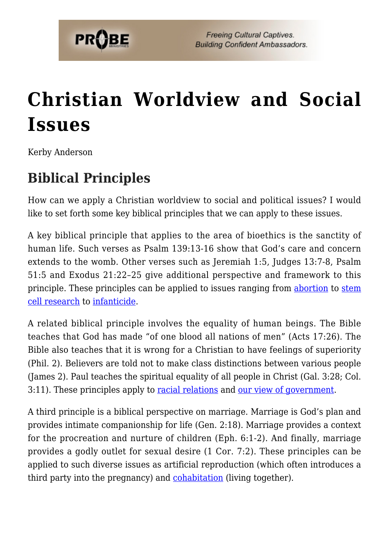

# **[Christian Worldview and Social](https://probe.org/christian-worldview-and-social-issues/) [Issues](https://probe.org/christian-worldview-and-social-issues/)**

Kerby Anderson

## **Biblical Principles**

How can we apply a Christian worldview to social and political issues? I would like to set forth some key biblical principles that we can apply to these issues.

A key biblical principle that applies to the area of bioethics is the sanctity of human life. Such verses as Psalm 139:13-16 show that God's care and concern extends to the womb. Other verses such as Jeremiah 1:5, Judges 13:7-8, Psalm 51:5 and Exodus 21:22–25 give additional perspective and framework to this principle. These principles can be applied to issues ranging from [abortion](https://www.probe.org/abortion-a-biblical-view/) to [stem](https://www.probe.org/the-continuing-controversy-over-stem-cells/) [cell research](https://www.probe.org/the-continuing-controversy-over-stem-cells/) to [infanticide.](https://www.probe.org/arguments-against-abortion/)

A related biblical principle involves the equality of human beings. The Bible teaches that God has made "of one blood all nations of men" (Acts 17:26). The Bible also teaches that it is wrong for a Christian to have feelings of superiority (Phil. 2). Believers are told not to make class distinctions between various people (James 2). Paul teaches the spiritual equality of all people in Christ (Gal. 3:28; Col. 3:11). These principles apply to [racial relations](https://www.probe.org/race-and-racial-issues/) and [our view of government](https://www.probe.org/christian-view-of-government-and-law/).

A third principle is a biblical perspective on marriage. Marriage is God's plan and provides intimate companionship for life (Gen. 2:18). Marriage provides a context for the procreation and nurture of children (Eph. 6:1-2). And finally, marriage provides a godly outlet for sexual desire (1 Cor. 7:2). These principles can be applied to such diverse issues as artificial reproduction (which often introduces a third party into the pregnancy) and **cohabitation** (living together).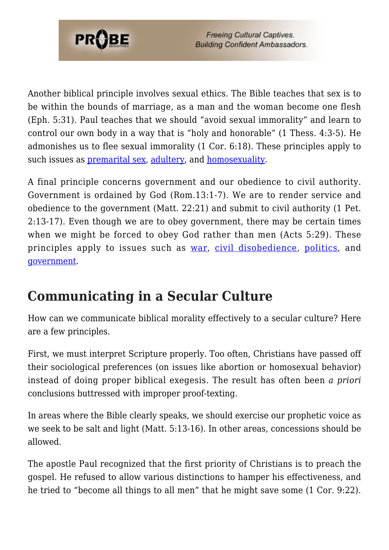

Another biblical principle involves sexual ethics. The Bible teaches that sex is to be within the bounds of marriage, as a man and the woman become one flesh (Eph. 5:31). Paul teaches that we should "avoid sexual immorality" and learn to control our own body in a way that is "holy and honorable" (1 Thess. 4:3-5). He admonishes us to flee sexual immorality (1 Cor. 6:18). These principles apply to such issues as [premarital sex](https://www.probe.org/why-wait-till-marriage/), [adultery](https://www.probe.org/adultery/), and [homosexuality.](https://www.probe.org/homosexuality-questions-and-answers/)

A final principle concerns government and our obedience to civil authority. Government is ordained by God (Rom.13:1-7). We are to render service and obedience to the government (Matt. 22:21) and submit to civil authority (1 Pet. 2:13-17). Even though we are to obey government, there may be certain times when we might be forced to obey God rather than men (Acts 5:29). These principles apply to issues such as [war,](https://www.probe.org/what-is-a-christian-perspective-on-war/) [civil disobedience,](https://www.probe.org/civil-disobedience/) [politics,](https://www.probe.org/politics-and-religion-2/) and [government.](https://www.probe.org/christian-view-of-government-and-law/)

### **Communicating in a Secular Culture**

How can we communicate biblical morality effectively to a secular culture? Here are a few principles.

First, we must interpret Scripture properly. Too often, Christians have passed off their sociological preferences (on issues like abortion or homosexual behavior) instead of doing proper biblical exegesis. The result has often been *a priori* conclusions buttressed with improper proof-texting.

In areas where the Bible clearly speaks, we should exercise our prophetic voice as we seek to be salt and light (Matt. 5:13-16). In other areas, concessions should be allowed.

The apostle Paul recognized that the first priority of Christians is to preach the gospel. He refused to allow various distinctions to hamper his effectiveness, and he tried to "become all things to all men" that he might save some (1 Cor. 9:22).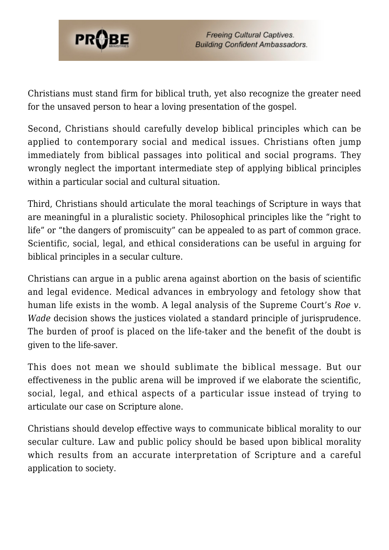

Christians must stand firm for biblical truth, yet also recognize the greater need for the unsaved person to hear a loving presentation of the gospel.

Second, Christians should carefully develop biblical principles which can be applied to contemporary social and medical issues. Christians often jump immediately from biblical passages into political and social programs. They wrongly neglect the important intermediate step of applying biblical principles within a particular social and cultural situation.

Third, Christians should articulate the moral teachings of Scripture in ways that are meaningful in a pluralistic society. Philosophical principles like the "right to life" or "the dangers of promiscuity" can be appealed to as part of common grace. Scientific, social, legal, and ethical considerations can be useful in arguing for biblical principles in a secular culture.

Christians can argue in a public arena against abortion on the basis of scientific and legal evidence. Medical advances in embryology and fetology show that human life exists in the womb. A legal analysis of the Supreme Court's *Roe v. Wade* decision shows the justices violated a standard principle of jurisprudence. The burden of proof is placed on the life-taker and the benefit of the doubt is given to the life-saver.

This does not mean we should sublimate the biblical message. But our effectiveness in the public arena will be improved if we elaborate the scientific, social, legal, and ethical aspects of a particular issue instead of trying to articulate our case on Scripture alone.

Christians should develop effective ways to communicate biblical morality to our secular culture. Law and public policy should be based upon biblical morality which results from an accurate interpretation of Scripture and a careful application to society.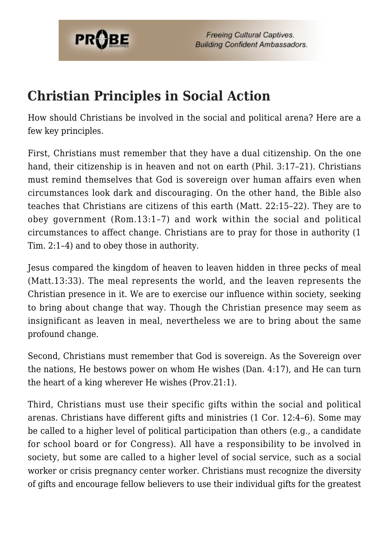

### **Christian Principles in Social Action**

How should Christians be involved in the social and political arena? Here are a few key principles.

First, Christians must remember that they have a dual citizenship. On the one hand, their citizenship is in heaven and not on earth (Phil. 3:17–21). Christians must remind themselves that God is sovereign over human affairs even when circumstances look dark and discouraging. On the other hand, the Bible also teaches that Christians are citizens of this earth (Matt. 22:15–22). They are to obey government (Rom.13:1–7) and work within the social and political circumstances to affect change. Christians are to pray for those in authority (1 Tim. 2:1–4) and to obey those in authority.

Jesus compared the kingdom of heaven to leaven hidden in three pecks of meal (Matt.13:33). The meal represents the world, and the leaven represents the Christian presence in it. We are to exercise our influence within society, seeking to bring about change that way. Though the Christian presence may seem as insignificant as leaven in meal, nevertheless we are to bring about the same profound change.

Second, Christians must remember that God is sovereign. As the Sovereign over the nations, He bestows power on whom He wishes (Dan. 4:17), and He can turn the heart of a king wherever He wishes (Prov.21:1).

Third, Christians must use their specific gifts within the social and political arenas. Christians have different gifts and ministries (1 Cor. 12:4–6). Some may be called to a higher level of political participation than others (e.g., a candidate for school board or for Congress). All have a responsibility to be involved in society, but some are called to a higher level of social service, such as a social worker or crisis pregnancy center worker. Christians must recognize the diversity of gifts and encourage fellow believers to use their individual gifts for the greatest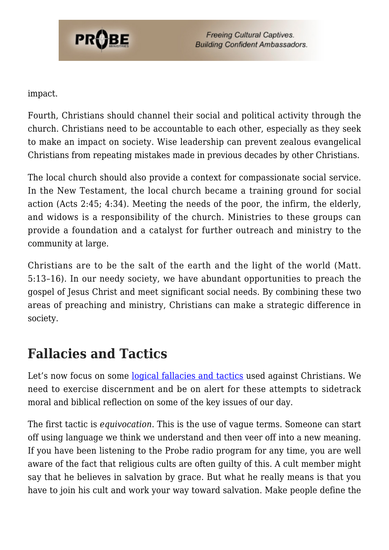

impact.

Fourth, Christians should channel their social and political activity through the church. Christians need to be accountable to each other, especially as they seek to make an impact on society. Wise leadership can prevent zealous evangelical Christians from repeating mistakes made in previous decades by other Christians.

The local church should also provide a context for compassionate social service. In the New Testament, the local church became a training ground for social action (Acts 2:45; 4:34). Meeting the needs of the poor, the infirm, the elderly, and widows is a responsibility of the church. Ministries to these groups can provide a foundation and a catalyst for further outreach and ministry to the community at large.

Christians are to be the salt of the earth and the light of the world (Matt. 5:13–16). In our needy society, we have abundant opportunities to preach the gospel of Jesus Christ and meet significant social needs. By combining these two areas of preaching and ministry, Christians can make a strategic difference in society.

### **Fallacies and Tactics**

Let's now focus on some [logical fallacies and tactics](https://www.probe.org/christian-discernment/) used against Christians. We need to exercise discernment and be on alert for these attempts to sidetrack moral and biblical reflection on some of the key issues of our day.

The first tactic is *equivocation*. This is the use of vague terms. Someone can start off using language we think we understand and then veer off into a new meaning. If you have been listening to the Probe radio program for any time, you are well aware of the fact that religious cults are often guilty of this. A cult member might say that he believes in salvation by grace. But what he really means is that you have to join his cult and work your way toward salvation. Make people define the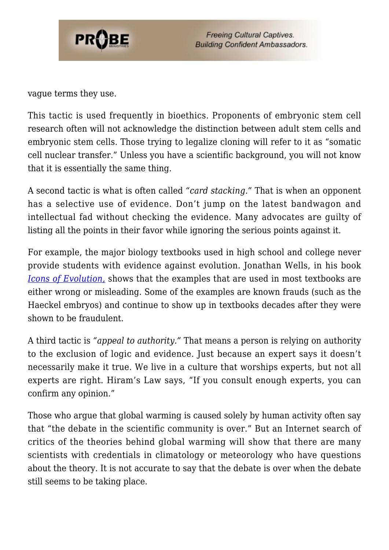

vague terms they use.

This tactic is used frequently in bioethics. Proponents of embryonic stem cell research often will not acknowledge the distinction between adult stem cells and embryonic stem cells. Those trying to legalize cloning will refer to it as "somatic cell nuclear transfer." Unless you have a scientific background, you will not know that it is essentially the same thing.

A second tactic is what is often called *"card stacking."* That is when an opponent has a selective use of evidence. Don't jump on the latest bandwagon and intellectual fad without checking the evidence. Many advocates are guilty of listing all the points in their favor while ignoring the serious points against it.

For example, the major biology textbooks used in high school and college never provide students with evidence against evolution. Jonathan Wells, in his book *[Icons of Evolution,](https://www.probe.org/icons-of-evolution/)* shows that the examples that are used in most textbooks are either wrong or misleading. Some of the examples are known frauds (such as the Haeckel embryos) and continue to show up in textbooks decades after they were shown to be fraudulent.

A third tactic is *"appeal to authority."* That means a person is relying on authority to the exclusion of logic and evidence. Just because an expert says it doesn't necessarily make it true. We live in a culture that worships experts, but not all experts are right. Hiram's Law says, "If you consult enough experts, you can confirm any opinion."

Those who argue that global warming is caused solely by human activity often say that "the debate in the scientific community is over." But an Internet search of critics of the theories behind global warming will show that there are many scientists with credentials in climatology or meteorology who have questions about the theory. It is not accurate to say that the debate is over when the debate still seems to be taking place.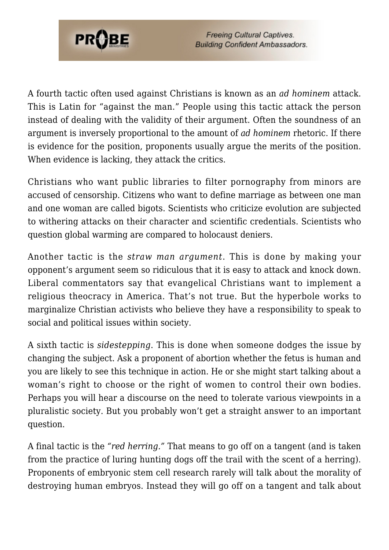

A fourth tactic often used against Christians is known as an *ad hominem* attack. This is Latin for "against the man." People using this tactic attack the person instead of dealing with the validity of their argument. Often the soundness of an argument is inversely proportional to the amount of *ad hominem* rhetoric. If there is evidence for the position, proponents usually argue the merits of the position. When evidence is lacking, they attack the critics.

Christians who want public libraries to filter pornography from minors are accused of censorship. Citizens who want to define marriage as between one man and one woman are called bigots. Scientists who criticize evolution are subjected to withering attacks on their character and scientific credentials. Scientists who question global warming are compared to holocaust deniers.

Another tactic is the *straw man argument*. This is done by making your opponent's argument seem so ridiculous that it is easy to attack and knock down. Liberal commentators say that evangelical Christians want to implement a religious theocracy in America. That's not true. But the hyperbole works to marginalize Christian activists who believe they have a responsibility to speak to social and political issues within society.

A sixth tactic is *sidestepping*. This is done when someone dodges the issue by changing the subject. Ask a proponent of abortion whether the fetus is human and you are likely to see this technique in action. He or she might start talking about a woman's right to choose or the right of women to control their own bodies. Perhaps you will hear a discourse on the need to tolerate various viewpoints in a pluralistic society. But you probably won't get a straight answer to an important question.

A final tactic is the *"red herring."* That means to go off on a tangent (and is taken from the practice of luring hunting dogs off the trail with the scent of a herring). Proponents of embryonic stem cell research rarely will talk about the morality of destroying human embryos. Instead they will go off on a tangent and talk about